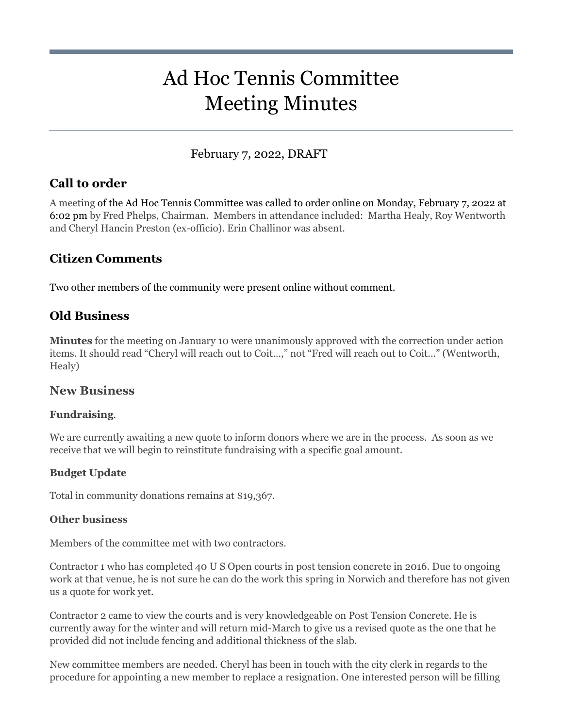# Ad Hoc Tennis Committee Meeting Minutes

## February 7, 2022, DRAFT

## **Call to order**

A meeting of the Ad Hoc Tennis Committee was called to order online on Monday, February 7, 2022 at 6:02 pm by Fred Phelps, Chairman. Members in attendance included: Martha Healy, Roy Wentworth and Cheryl Hancin Preston (ex-officio). Erin Challinor was absent.

## **Citizen Comments**

Two other members of the community were present online without comment.

## **Old Business**

**Minutes** for the meeting on January 10 were unanimously approved with the correction under action items. It should read "Cheryl will reach out to Coit…," not "Fred will reach out to Coit…" (Wentworth, Healy)

#### **New Business**

#### **Fundraising**.

We are currently awaiting a new quote to inform donors where we are in the process. As soon as we receive that we will begin to reinstitute fundraising with a specific goal amount.

#### **Budget Update**

Total in community donations remains at \$19,367.

#### **Other business**

Members of the committee met with two contractors.

Contractor 1 who has completed 40 U S Open courts in post tension concrete in 2016. Due to ongoing work at that venue, he is not sure he can do the work this spring in Norwich and therefore has not given us a quote for work yet.

Contractor 2 came to view the courts and is very knowledgeable on Post Tension Concrete. He is currently away for the winter and will return mid-March to give us a revised quote as the one that he provided did not include fencing and additional thickness of the slab.

New committee members are needed. Cheryl has been in touch with the city clerk in regards to the procedure for appointing a new member to replace a resignation. One interested person will be filling